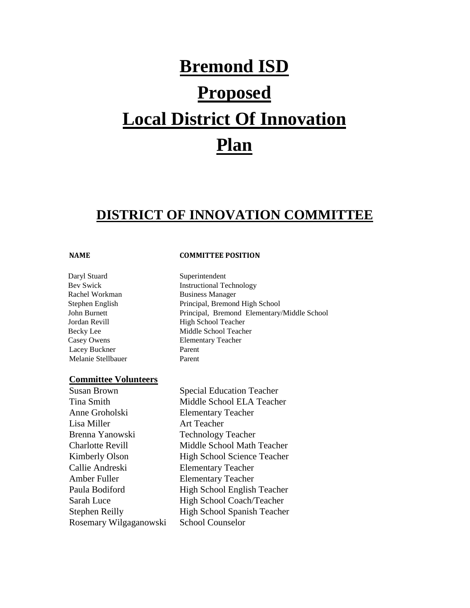# **Bremond ISD Proposed Local District Of Innovation Plan**

# **DISTRICT OF INNOVATION COMMITTEE**

#### **NAME COMMITTEE POSITION**

Daryl Stuard Superintendent Bev Swick Instructional Technology Rachel Workman Business Manager Stephen English Principal, Bremond High School John Burnett Principal, Bremond Elementary/Middle School Jordan Revill High School Teacher Becky Lee Middle School Teacher Casey Owens Elementary Teacher Lacey Buckner Parent Melanie Stellbauer Parent

#### **Committee Volunteers**

Susan Brown Special Education Teacher Tina Smith Middle School ELA Teacher Anne Groholski Elementary Teacher Lisa Miller **Art Teacher** Brenna Yanowski Technology Teacher Charlotte Revill Middle School Math Teacher Kimberly Olson High School Science Teacher Callie Andreski Elementary Teacher Amber Fuller Elementary Teacher Paula Bodiford High School English Teacher Sarah Luce High School Coach/Teacher Stephen Reilly High School Spanish Teacher Rosemary Wilgaganowski School Counselor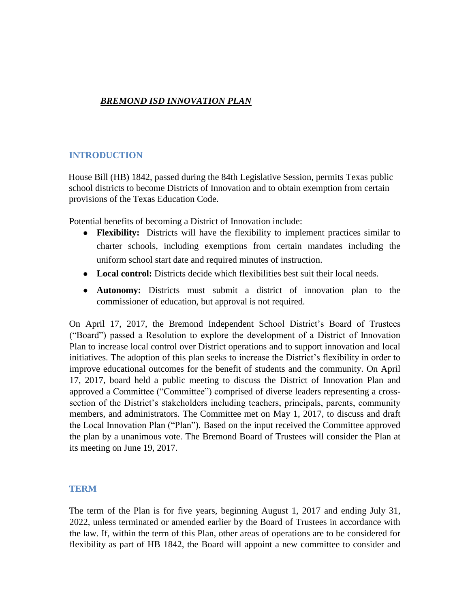#### *BREMOND ISD INNOVATION PLAN*

#### **INTRODUCTION**

House Bill (HB) 1842, passed during the 84th Legislative Session, permits Texas public school districts to become Districts of Innovation and to obtain exemption from certain provisions of the Texas Education Code.

Potential benefits of becoming a District of Innovation include:

- **Flexibility:** Districts will have the flexibility to implement practices similar to charter schools, including exemptions from certain mandates including the uniform school start date and required minutes of instruction.
- Local control: Districts decide which flexibilities best suit their local needs.
- **Autonomy:** Districts must submit a district of innovation plan to the commissioner of education, but approval is not required.

On April 17, 2017, the Bremond Independent School District's Board of Trustees ("Board") passed a Resolution to explore the development of a District of Innovation Plan to increase local control over District operations and to support innovation and local initiatives. The adoption of this plan seeks to increase the District's flexibility in order to improve educational outcomes for the benefit of students and the community. On April 17, 2017, board held a public meeting to discuss the District of Innovation Plan and approved a Committee ("Committee") comprised of diverse leaders representing a crosssection of the District's stakeholders including teachers, principals, parents, community members, and administrators. The Committee met on May 1, 2017, to discuss and draft the Local Innovation Plan ("Plan"). Based on the input received the Committee approved the plan by a unanimous vote. The Bremond Board of Trustees will consider the Plan at its meeting on June 19, 2017.

#### **TERM**

The term of the Plan is for five years, beginning August 1, 2017 and ending July 31, 2022, unless terminated or amended earlier by the Board of Trustees in accordance with the law. If, within the term of this Plan, other areas of operations are to be considered for flexibility as part of HB 1842, the Board will appoint a new committee to consider and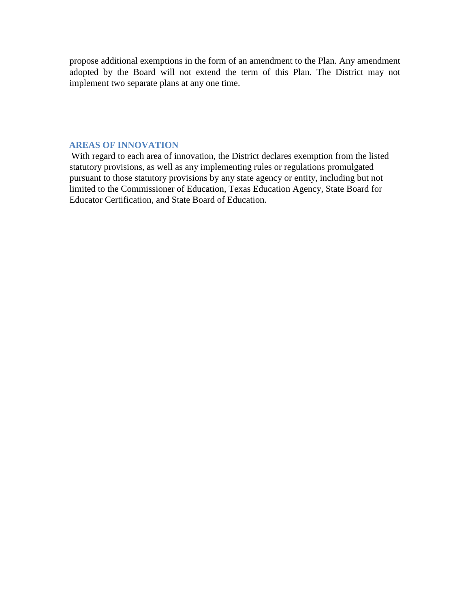propose additional exemptions in the form of an amendment to the Plan. Any amendment adopted by the Board will not extend the term of this Plan. The District may not implement two separate plans at any one time.

#### **AREAS OF INNOVATION**

With regard to each area of innovation, the District declares exemption from the listed statutory provisions, as well as any implementing rules or regulations promulgated pursuant to those statutory provisions by any state agency or entity, including but not limited to the Commissioner of Education, Texas Education Agency, State Board for Educator Certification, and State Board of Education.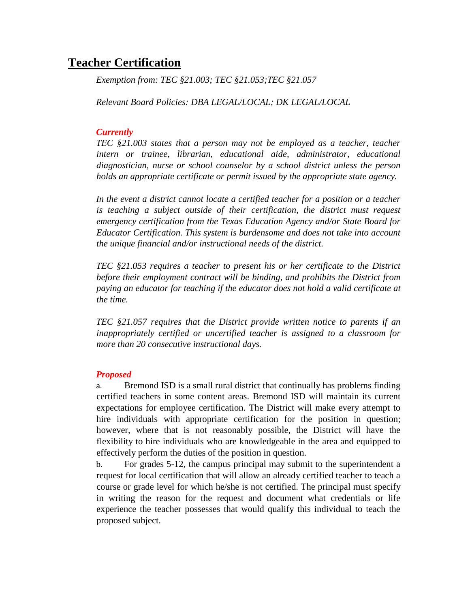# **Teacher Certification**

*Exemption from: TEC §21.003; TEC §21.053;TEC §21.057* 

*Relevant Board Policies: DBA LEGAL/LOCAL; DK LEGAL/LOCAL* 

#### *Currently*

*TEC §21.003 states that a person may not be employed as a teacher, teacher intern or trainee, librarian, educational aide, administrator, educational diagnostician, nurse or school counselor by a school district unless the person holds an appropriate certificate or permit issued by the appropriate state agency.* 

*In the event a district cannot locate a certified teacher for a position or a teacher is teaching a subject outside of their certification, the district must request emergency certification from the Texas Education Agency and/or State Board for Educator Certification. This system is burdensome and does not take into account the unique financial and/or instructional needs of the district.* 

*TEC §21.053 requires a teacher to present his or her certificate to the District before their employment contract will be binding, and prohibits the District from paying an educator for teaching if the educator does not hold a valid certificate at the time.* 

*TEC §21.057 requires that the District provide written notice to parents if an inappropriately certified or uncertified teacher is assigned to a classroom for more than 20 consecutive instructional days.* 

#### *Proposed*

a. Bremond ISD is a small rural district that continually has problems finding certified teachers in some content areas. Bremond ISD will maintain its current expectations for employee certification. The District will make every attempt to hire individuals with appropriate certification for the position in question; however, where that is not reasonably possible, the District will have the flexibility to hire individuals who are knowledgeable in the area and equipped to effectively perform the duties of the position in question.

b. For grades 5-12, the campus principal may submit to the superintendent a request for local certification that will allow an already certified teacher to teach a course or grade level for which he/she is not certified. The principal must specify in writing the reason for the request and document what credentials or life experience the teacher possesses that would qualify this individual to teach the proposed subject.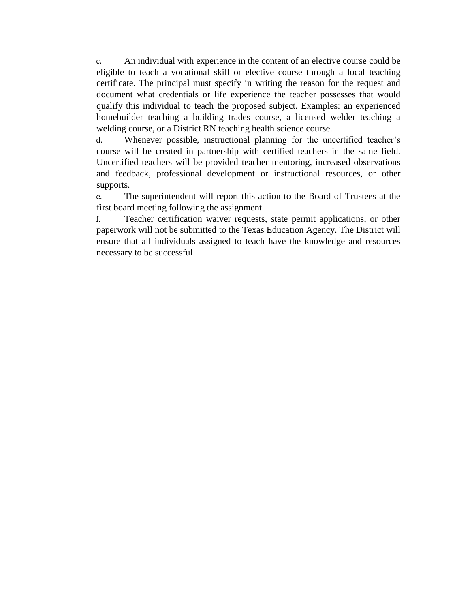c. An individual with experience in the content of an elective course could be eligible to teach a vocational skill or elective course through a local teaching certificate. The principal must specify in writing the reason for the request and document what credentials or life experience the teacher possesses that would qualify this individual to teach the proposed subject. Examples: an experienced homebuilder teaching a building trades course, a licensed welder teaching a welding course, or a District RN teaching health science course.

d. Whenever possible, instructional planning for the uncertified teacher's course will be created in partnership with certified teachers in the same field. Uncertified teachers will be provided teacher mentoring, increased observations and feedback, professional development or instructional resources, or other supports.

e. The superintendent will report this action to the Board of Trustees at the first board meeting following the assignment.

f. Teacher certification waiver requests, state permit applications, or other paperwork will not be submitted to the Texas Education Agency. The District will ensure that all individuals assigned to teach have the knowledge and resources necessary to be successful.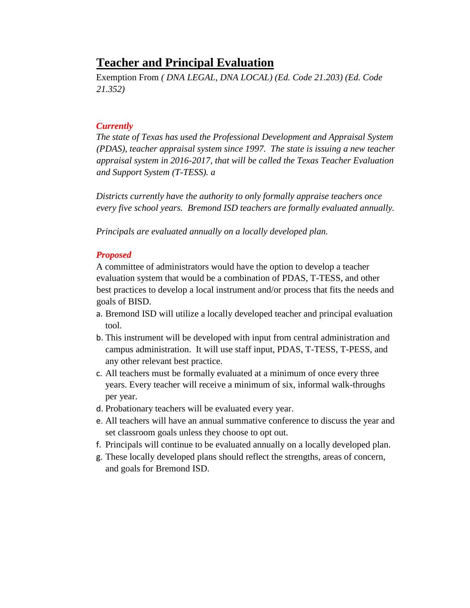# **Teacher and Principal Evaluation**

Exemption From *( DNA LEGAL, DNA LOCAL) (Ed. Code 21.203) (Ed. Code 21.352)* 

#### *Currently*

*The state of Texas has used the Professional Development and Appraisal System (PDAS), teacher appraisal system since 1997. The state is issuing a new teacher appraisal system in 2016-2017, that will be called the Texas Teacher Evaluation and Support System (T-TESS). a*

*Districts currently have the authority to only formally appraise teachers once every five school years. Bremond ISD teachers are formally evaluated annually.* 

*Principals are evaluated annually on a locally developed plan.* 

#### *Proposed*

A committee of administrators would have the option to develop a teacher evaluation system that would be a combination of PDAS, T-TESS, and other best practices to develop a local instrument and/or process that fits the needs and goals of BISD.

- a. Bremond ISD will utilize a locally developed teacher and principal evaluation tool.
- b. This instrument will be developed with input from central administration and campus administration. It will use staff input, PDAS, T-TESS, T-PESS, and any other relevant best practice.
- c. All teachers must be formally evaluated at a minimum of once every three years. Every teacher will receive a minimum of six, informal walk-throughs per year.
- d. Probationary teachers will be evaluated every year.
- e. All teachers will have an annual summative conference to discuss the year and set classroom goals unless they choose to opt out.
- f. Principals will continue to be evaluated annually on a locally developed plan.
- g. These locally developed plans should reflect the strengths, areas of concern, and goals for Bremond ISD.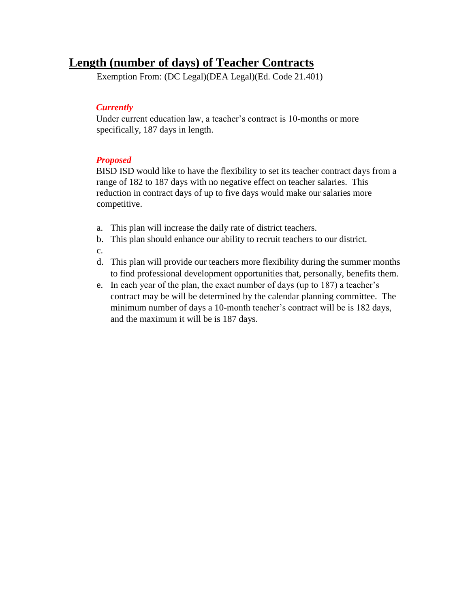# **Length (number of days) of Teacher Contracts**

Exemption From: (DC Legal)(DEA Legal)(Ed. Code 21.401)

#### *Currently*

Under current education law, a teacher's contract is 10-months or more specifically, 187 days in length.

#### *Proposed*

BISD ISD would like to have the flexibility to set its teacher contract days from a range of 182 to 187 days with no negative effect on teacher salaries. This reduction in contract days of up to five days would make our salaries more competitive.

- a. This plan will increase the daily rate of district teachers.
- b. This plan should enhance our ability to recruit teachers to our district.
- c.
- d. This plan will provide our teachers more flexibility during the summer months to find professional development opportunities that, personally, benefits them.
- e. In each year of the plan, the exact number of days (up to 187) a teacher's contract may be will be determined by the calendar planning committee. The minimum number of days a 10-month teacher's contract will be is 182 days, and the maximum it will be is 187 days.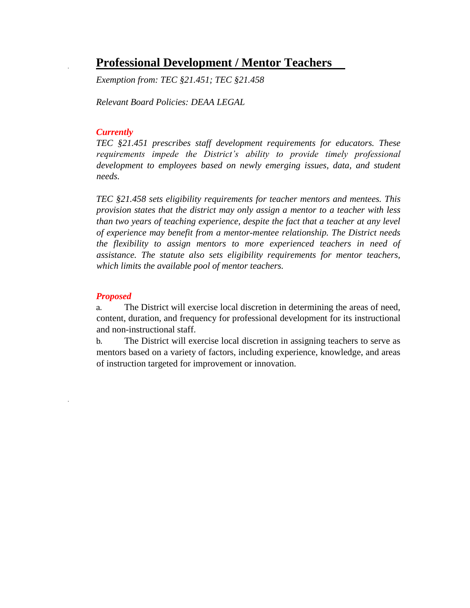# **Professional Development / Mentor Teachers**

*Exemption from: TEC §21.451; TEC §21.458* 

*Relevant Board Policies: DEAA LEGAL* 

#### *Currently*

*TEC §21.451 prescribes staff development requirements for educators. These requirements impede the District's ability to provide timely professional development to employees based on newly emerging issues, data, and student needs.* 

*TEC §21.458 sets eligibility requirements for teacher mentors and mentees. This provision states that the district may only assign a mentor to a teacher with less than two years of teaching experience, despite the fact that a teacher at any level of experience may benefit from a mentor-mentee relationship. The District needs the flexibility to assign mentors to more experienced teachers in need of assistance. The statute also sets eligibility requirements for mentor teachers, which limits the available pool of mentor teachers.* 

#### *Proposed*

a. The District will exercise local discretion in determining the areas of need, content, duration, and frequency for professional development for its instructional and non-instructional staff.

b. The District will exercise local discretion in assigning teachers to serve as mentors based on a variety of factors, including experience, knowledge, and areas of instruction targeted for improvement or innovation.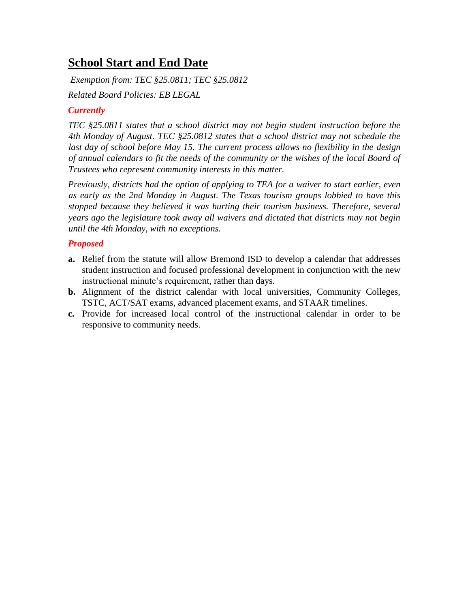# **School Start and End Date**

*Exemption from: TEC §25.0811; TEC §25.0812* 

*Related Board Policies: EB LEGAL* 

### *Currently*

*TEC §25.0811 states that a school district may not begin student instruction before the 4th Monday of August. TEC §25.0812 states that a school district may not schedule the*  last day of school before May 15. The current process allows no flexibility in the design *of annual calendars to fit the needs of the community or the wishes of the local Board of Trustees who represent community interests in this matter.* 

*Previously, districts had the option of applying to TEA for a waiver to start earlier, even as early as the 2nd Monday in August. The Texas tourism groups lobbied to have this stopped because they believed it was hurting their tourism business. Therefore, several years ago the legislature took away all waivers and dictated that districts may not begin until the 4th Monday, with no exceptions.* 

#### *Proposed*

- **a.** Relief from the statute will allow Bremond ISD to develop a calendar that addresses student instruction and focused professional development in conjunction with the new instructional minute's requirement, rather than days.
- **b.** Alignment of the district calendar with local universities, Community Colleges, TSTC, ACT/SAT exams, advanced placement exams, and STAAR timelines.
- **c.** Provide for increased local control of the instructional calendar in order to be responsive to community needs.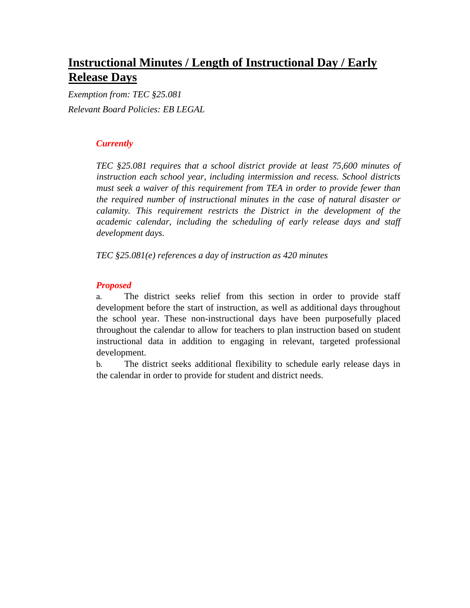# **Instructional Minutes / Length of Instructional Day / Early Release Days**

*Exemption from: TEC §25.081 Relevant Board Policies: EB LEGAL* 

#### *Currently*

*TEC §25.081 requires that a school district provide at least 75,600 minutes of instruction each school year, including intermission and recess. School districts must seek a waiver of this requirement from TEA in order to provide fewer than the required number of instructional minutes in the case of natural disaster or calamity. This requirement restricts the District in the development of the academic calendar, including the scheduling of early release days and staff development days.* 

*TEC §25.081(e) references a day of instruction as 420 minutes* 

#### *Proposed*

a. The district seeks relief from this section in order to provide staff development before the start of instruction, as well as additional days throughout the school year. These non-instructional days have been purposefully placed throughout the calendar to allow for teachers to plan instruction based on student instructional data in addition to engaging in relevant, targeted professional development.

b. The district seeks additional flexibility to schedule early release days in the calendar in order to provide for student and district needs.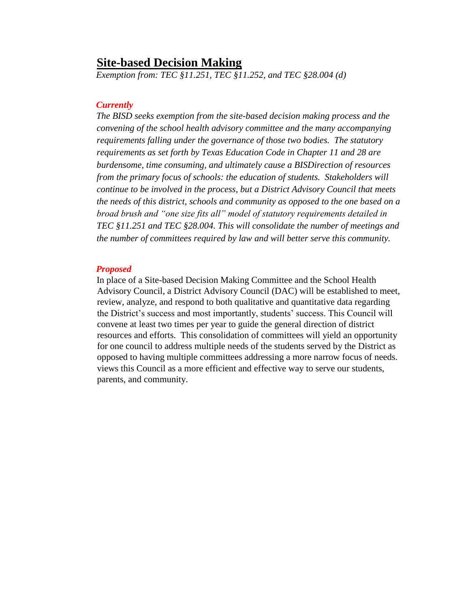## **Site-based Decision Making**

*Exemption from: TEC §11.251, TEC §11.252, and TEC §28.004 (d)* 

#### *Currently*

*The BISD seeks exemption from the site-based decision making process and the convening of the school health advisory committee and the many accompanying requirements falling under the governance of those two bodies. The statutory requirements as set forth by Texas Education Code in Chapter 11 and 28 are burdensome, time consuming, and ultimately cause a BISDirection of resources from the primary focus of schools: the education of students. Stakeholders will continue to be involved in the process, but a District Advisory Council that meets the needs of this district, schools and community as opposed to the one based on a broad brush and "one size fits all" model of statutory requirements detailed in TEC §11.251 and TEC §28.004. This will consolidate the number of meetings and the number of committees required by law and will better serve this community.* 

#### *Proposed*

In place of a Site-based Decision Making Committee and the School Health Advisory Council, a District Advisory Council (DAC) will be established to meet, review, analyze, and respond to both qualitative and quantitative data regarding the District's success and most importantly, students' success. This Council will convene at least two times per year to guide the general direction of district resources and efforts. This consolidation of committees will yield an opportunity for one council to address multiple needs of the students served by the District as opposed to having multiple committees addressing a more narrow focus of needs. views this Council as a more efficient and effective way to serve our students, parents, and community.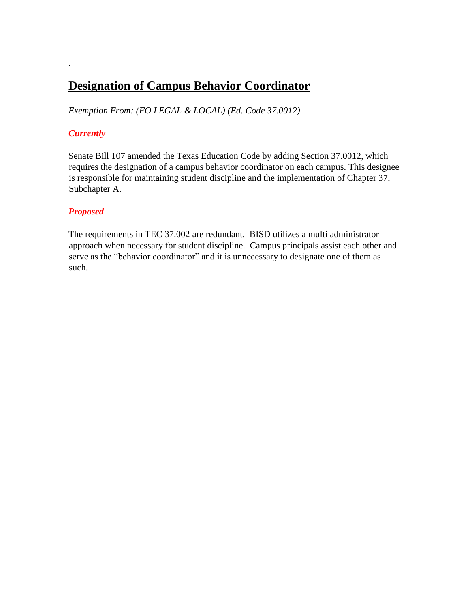# **Designation of Campus Behavior Coordinator**

*Exemption From: (FO LEGAL & LOCAL) (Ed. Code 37.0012)* 

#### *Currently*

Senate Bill 107 amended the Texas Education Code by adding Section 37.0012, which requires the designation of a campus behavior coordinator on each campus. This designee is responsible for maintaining student discipline and the implementation of Chapter 37, Subchapter A.

#### *Proposed*

The requirements in TEC 37.002 are redundant. BISD utilizes a multi administrator approach when necessary for student discipline. Campus principals assist each other and serve as the "behavior coordinator" and it is unnecessary to designate one of them as such.